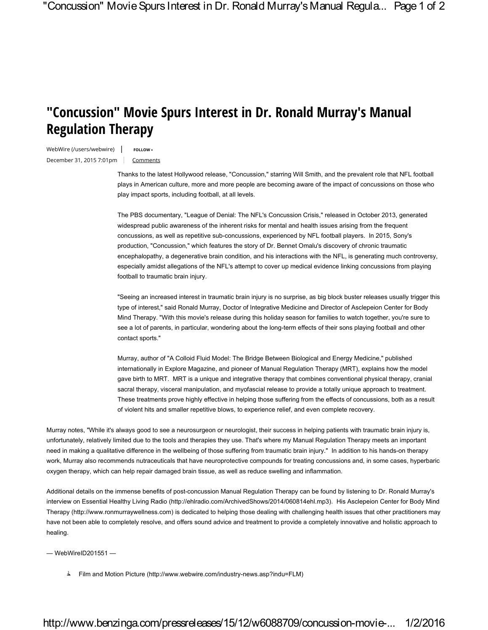## **"Concussion" Movie Spurs Interest in Dr. Ronald Murray's Manual Regulation Therapy**

WebWire (/users/webwire) | FOLLOW+ December 31, 2015 7:01pm Comments

Thanks to the latest Hollywood release, "Concussion," starring Will Smith, and the prevalent role that NFL football plays in American culture, more and more people are becoming aware of the impact of concussions on those who play impact sports, including football, at all levels.

The PBS documentary, "League of Denial: The NFL's Concussion Crisis," released in October 2013, generated widespread public awareness of the inherent risks for mental and health issues arising from the frequent concussions, as well as repetitive sub-concussions, experienced by NFL football players. In 2015, Sony's production, "Concussion," which features the story of Dr. Bennet Omalu's discovery of chronic traumatic encephalopathy, a degenerative brain condition, and his interactions with the NFL, is generating much controversy, especially amidst allegations of the NFL's attempt to cover up medical evidence linking concussions from playing football to traumatic brain injury.

"Seeing an increased interest in traumatic brain injury is no surprise, as big block buster releases usually trigger this type of interest," said Ronald Murray, Doctor of Integrative Medicine and Director of Asclepeion Center for Body Mind Therapy. "With this movie's release during this holiday season for families to watch together, you're sure to see a lot of parents, in particular, wondering about the long-term effects of their sons playing football and other contact sports."

Murray, author of "A Colloid Fluid Model: The Bridge Between Biological and Energy Medicine," published internationally in Explore Magazine, and pioneer of Manual Regulation Therapy (MRT), explains how the model gave birth to MRT. MRT is a unique and integrative therapy that combines conventional physical therapy, cranial sacral therapy, visceral manipulation, and myofascial release to provide a totally unique approach to treatment. These treatments prove highly effective in helping those suffering from the effects of concussions, both as a result of violent hits and smaller repetitive blows, to experience relief, and even complete recovery.

Murray notes, "While it's always good to see a neurosurgeon or neurologist, their success in helping patients with traumatic brain injury is, unfortunately, relatively limited due to the tools and therapies they use. That's where my Manual Regulation Therapy meets an important need in making a qualitative difference in the wellbeing of those suffering from traumatic brain injury." In addition to his hands-on therapy work, Murray also recommends nutraceuticals that have neuroprotective compounds for treating concussions and, in some cases, hyperbaric oxygen therapy, which can help repair damaged brain tissue, as well as reduce swelling and inflammation.

Additional details on the immense benefits of post-concussion Manual Regulation Therapy can be found by listening to Dr. Ronald Murray's interview on Essential Healthy Living Radio (http://ehlradio.com/ArchivedShows/2014/060814ehl.mp3). His Asclepeion Center for Body Mind Therapy (http://www.ronmurraywellness.com) is dedicated to helping those dealing with challenging health issues that other practitioners may have not been able to completely resolve, and offers sound advice and treatment to provide a completely innovative and holistic approach to healing.

— WebWireID201551 —

Film and Motion Picture (http://www.webwire.com/industry-news.asp?indu=FLM)